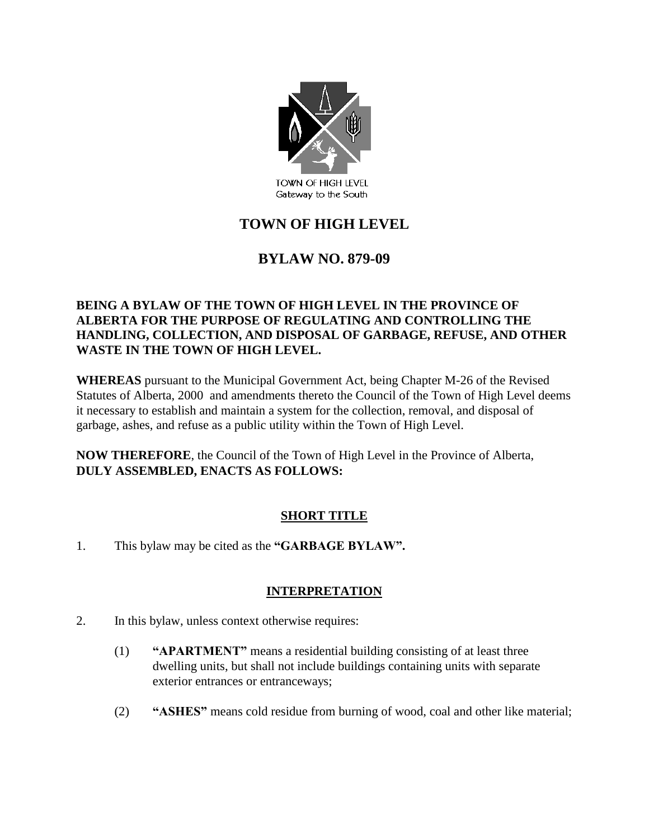

# **TOWN OF HIGH LEVEL**

## **BYLAW NO. 879-09**

#### **BEING A BYLAW OF THE TOWN OF HIGH LEVEL IN THE PROVINCE OF ALBERTA FOR THE PURPOSE OF REGULATING AND CONTROLLING THE HANDLING, COLLECTION, AND DISPOSAL OF GARBAGE, REFUSE, AND OTHER WASTE IN THE TOWN OF HIGH LEVEL.**

**WHEREAS** pursuant to the Municipal Government Act, being Chapter M-26 of the Revised Statutes of Alberta, 2000 and amendments thereto the Council of the Town of High Level deems it necessary to establish and maintain a system for the collection, removal, and disposal of garbage, ashes, and refuse as a public utility within the Town of High Level.

**NOW THEREFORE**, the Council of the Town of High Level in the Province of Alberta, **DULY ASSEMBLED, ENACTS AS FOLLOWS:**

#### **SHORT TITLE**

1. This bylaw may be cited as the **"GARBAGE BYLAW".**

### **INTERPRETATION**

- 2. In this bylaw, unless context otherwise requires:
	- (1) **"APARTMENT"** means a residential building consisting of at least three dwelling units, but shall not include buildings containing units with separate exterior entrances or entranceways;
	- (2) **"ASHES"** means cold residue from burning of wood, coal and other like material;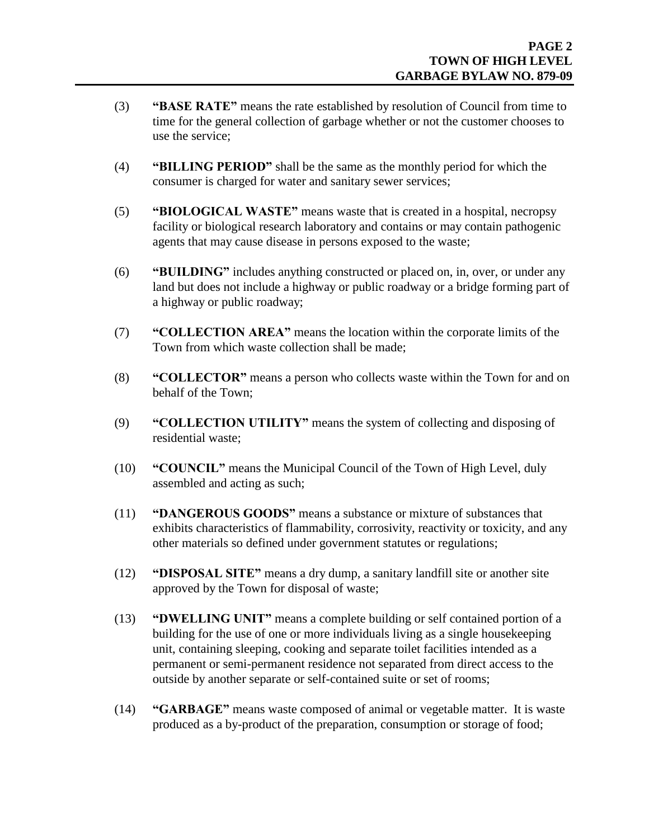- (3) **"BASE RATE"** means the rate established by resolution of Council from time to time for the general collection of garbage whether or not the customer chooses to use the service;
- (4) **"BILLING PERIOD"** shall be the same as the monthly period for which the consumer is charged for water and sanitary sewer services;
- (5) **"BIOLOGICAL WASTE"** means waste that is created in a hospital, necropsy facility or biological research laboratory and contains or may contain pathogenic agents that may cause disease in persons exposed to the waste;
- (6) **"BUILDING"** includes anything constructed or placed on, in, over, or under any land but does not include a highway or public roadway or a bridge forming part of a highway or public roadway;
- (7) **"COLLECTION AREA"** means the location within the corporate limits of the Town from which waste collection shall be made;
- (8) **"COLLECTOR"** means a person who collects waste within the Town for and on behalf of the Town;
- (9) **"COLLECTION UTILITY"** means the system of collecting and disposing of residential waste;
- (10) **"COUNCIL"** means the Municipal Council of the Town of High Level, duly assembled and acting as such;
- (11) **"DANGEROUS GOODS"** means a substance or mixture of substances that exhibits characteristics of flammability, corrosivity, reactivity or toxicity, and any other materials so defined under government statutes or regulations;
- (12) **"DISPOSAL SITE"** means a dry dump, a sanitary landfill site or another site approved by the Town for disposal of waste;
- (13) **"DWELLING UNIT"** means a complete building or self contained portion of a building for the use of one or more individuals living as a single housekeeping unit, containing sleeping, cooking and separate toilet facilities intended as a permanent or semi-permanent residence not separated from direct access to the outside by another separate or self-contained suite or set of rooms;
- (14) **"GARBAGE"** means waste composed of animal or vegetable matter. It is waste produced as a by-product of the preparation, consumption or storage of food;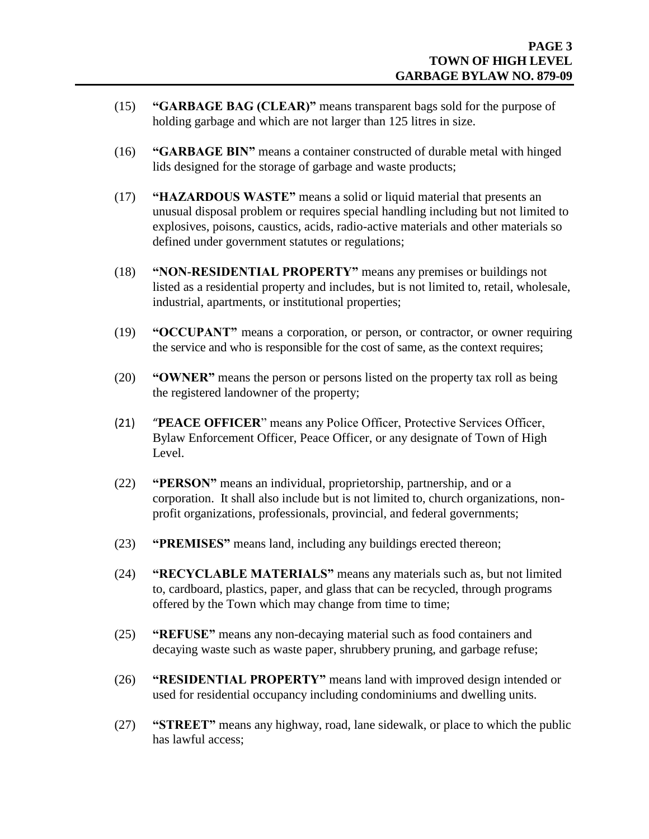- (15) **"GARBAGE BAG (CLEAR)"** means transparent bags sold for the purpose of holding garbage and which are not larger than 125 litres in size.
- (16) **"GARBAGE BIN"** means a container constructed of durable metal with hinged lids designed for the storage of garbage and waste products;
- (17) **"HAZARDOUS WASTE"** means a solid or liquid material that presents an unusual disposal problem or requires special handling including but not limited to explosives, poisons, caustics, acids, radio-active materials and other materials so defined under government statutes or regulations;
- (18) **"NON-RESIDENTIAL PROPERTY"** means any premises or buildings not listed as a residential property and includes, but is not limited to, retail, wholesale, industrial, apartments, or institutional properties;
- (19) **"OCCUPANT"** means a corporation, or person, or contractor, or owner requiring the service and who is responsible for the cost of same, as the context requires;
- (20) **"OWNER"** means the person or persons listed on the property tax roll as being the registered landowner of the property;
- (21) "**PEACE OFFICER**" means any Police Officer, Protective Services Officer, Bylaw Enforcement Officer, Peace Officer, or any designate of Town of High Level.
- (22) **"PERSON"** means an individual, proprietorship, partnership, and or a corporation. It shall also include but is not limited to, church organizations, nonprofit organizations, professionals, provincial, and federal governments;
- (23) **"PREMISES"** means land, including any buildings erected thereon;
- (24) **"RECYCLABLE MATERIALS"** means any materials such as, but not limited to, cardboard, plastics, paper, and glass that can be recycled, through programs offered by the Town which may change from time to time;
- (25) **"REFUSE"** means any non-decaying material such as food containers and decaying waste such as waste paper, shrubbery pruning, and garbage refuse;
- (26) **"RESIDENTIAL PROPERTY"** means land with improved design intended or used for residential occupancy including condominiums and dwelling units.
- (27) **"STREET"** means any highway, road, lane sidewalk, or place to which the public has lawful access;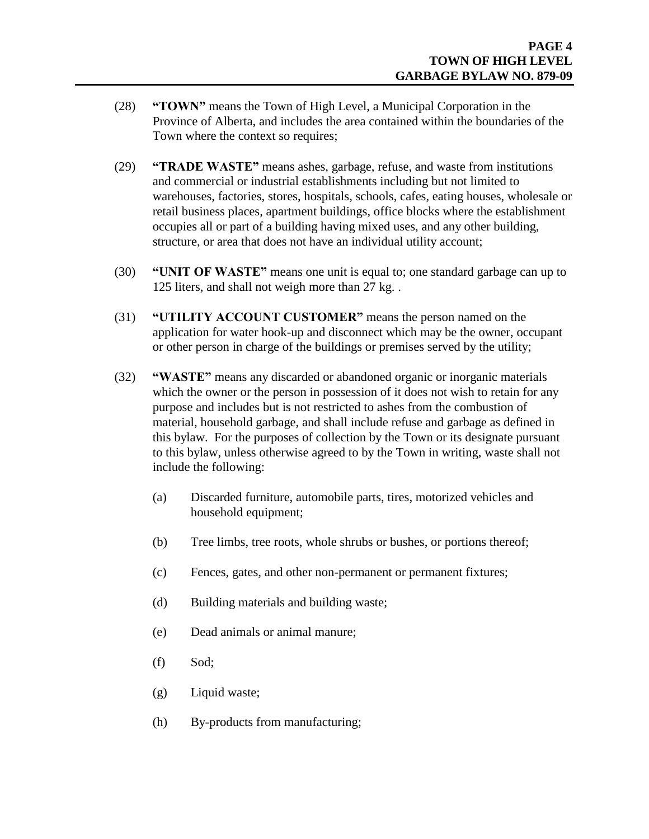- (28) **"TOWN"** means the Town of High Level, a Municipal Corporation in the Province of Alberta, and includes the area contained within the boundaries of the Town where the context so requires;
- (29) **"TRADE WASTE"** means ashes, garbage, refuse, and waste from institutions and commercial or industrial establishments including but not limited to warehouses, factories, stores, hospitals, schools, cafes, eating houses, wholesale or retail business places, apartment buildings, office blocks where the establishment occupies all or part of a building having mixed uses, and any other building, structure, or area that does not have an individual utility account;
- (30) **"UNIT OF WASTE"** means one unit is equal to; one standard garbage can up to 125 liters, and shall not weigh more than 27 kg. .
- (31) **"UTILITY ACCOUNT CUSTOMER"** means the person named on the application for water hook-up and disconnect which may be the owner, occupant or other person in charge of the buildings or premises served by the utility;
- (32) **"WASTE"** means any discarded or abandoned organic or inorganic materials which the owner or the person in possession of it does not wish to retain for any purpose and includes but is not restricted to ashes from the combustion of material, household garbage, and shall include refuse and garbage as defined in this bylaw. For the purposes of collection by the Town or its designate pursuant to this bylaw, unless otherwise agreed to by the Town in writing, waste shall not include the following:
	- (a) Discarded furniture, automobile parts, tires, motorized vehicles and household equipment;
	- (b) Tree limbs, tree roots, whole shrubs or bushes, or portions thereof;
	- (c) Fences, gates, and other non-permanent or permanent fixtures;
	- (d) Building materials and building waste;
	- (e) Dead animals or animal manure;
	- (f) Sod;
	- (g) Liquid waste;
	- (h) By-products from manufacturing;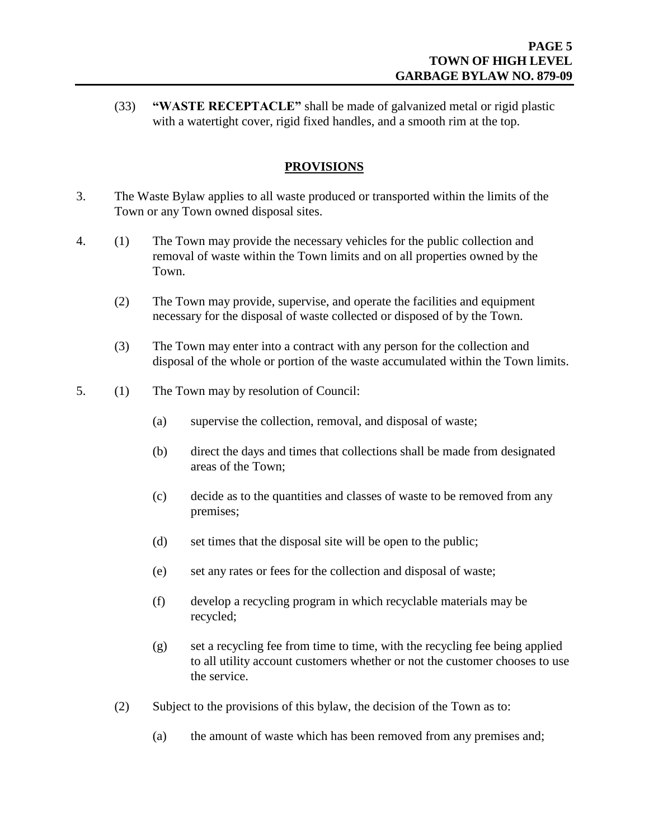(33) **"WASTE RECEPTACLE"** shall be made of galvanized metal or rigid plastic with a watertight cover, rigid fixed handles, and a smooth rim at the top.

#### **PROVISIONS**

- 3. The Waste Bylaw applies to all waste produced or transported within the limits of the Town or any Town owned disposal sites.
- 4. (1) The Town may provide the necessary vehicles for the public collection and removal of waste within the Town limits and on all properties owned by the Town.
	- (2) The Town may provide, supervise, and operate the facilities and equipment necessary for the disposal of waste collected or disposed of by the Town.
	- (3) The Town may enter into a contract with any person for the collection and disposal of the whole or portion of the waste accumulated within the Town limits.
- 5. (1) The Town may by resolution of Council:
	- (a) supervise the collection, removal, and disposal of waste;
	- (b) direct the days and times that collections shall be made from designated areas of the Town;
	- (c) decide as to the quantities and classes of waste to be removed from any premises;
	- (d) set times that the disposal site will be open to the public;
	- (e) set any rates or fees for the collection and disposal of waste;
	- (f) develop a recycling program in which recyclable materials may be recycled;
	- (g) set a recycling fee from time to time, with the recycling fee being applied to all utility account customers whether or not the customer chooses to use the service.
	- (2) Subject to the provisions of this bylaw, the decision of the Town as to:
		- (a) the amount of waste which has been removed from any premises and;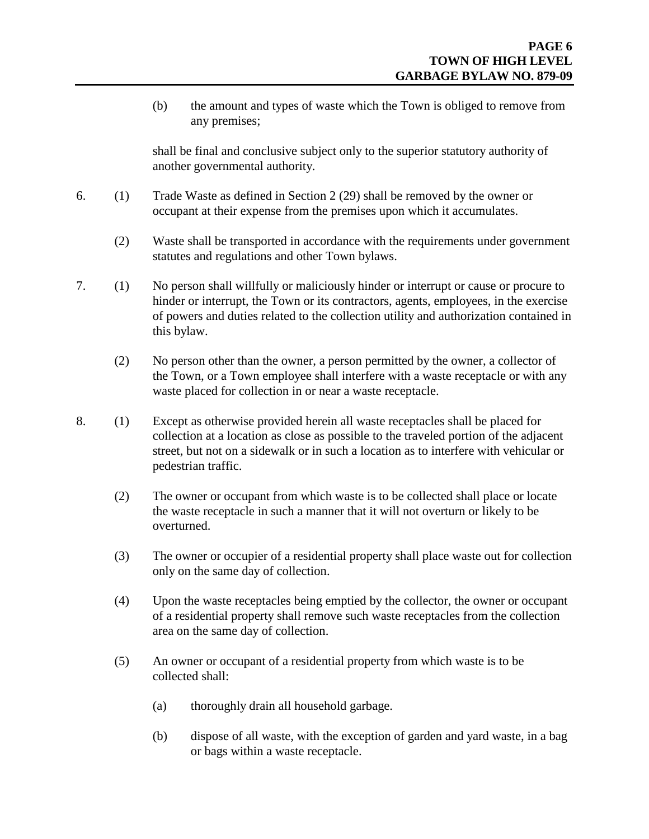(b) the amount and types of waste which the Town is obliged to remove from any premises;

shall be final and conclusive subject only to the superior statutory authority of another governmental authority.

- 6. (1) Trade Waste as defined in Section 2 (29) shall be removed by the owner or occupant at their expense from the premises upon which it accumulates.
	- (2) Waste shall be transported in accordance with the requirements under government statutes and regulations and other Town bylaws.
- 7. (1) No person shall willfully or maliciously hinder or interrupt or cause or procure to hinder or interrupt, the Town or its contractors, agents, employees, in the exercise of powers and duties related to the collection utility and authorization contained in this bylaw.
	- (2) No person other than the owner, a person permitted by the owner, a collector of the Town, or a Town employee shall interfere with a waste receptacle or with any waste placed for collection in or near a waste receptacle.
- 8. (1) Except as otherwise provided herein all waste receptacles shall be placed for collection at a location as close as possible to the traveled portion of the adjacent street, but not on a sidewalk or in such a location as to interfere with vehicular or pedestrian traffic.
	- (2) The owner or occupant from which waste is to be collected shall place or locate the waste receptacle in such a manner that it will not overturn or likely to be overturned.
	- (3) The owner or occupier of a residential property shall place waste out for collection only on the same day of collection.
	- (4) Upon the waste receptacles being emptied by the collector, the owner or occupant of a residential property shall remove such waste receptacles from the collection area on the same day of collection.
	- (5) An owner or occupant of a residential property from which waste is to be collected shall:
		- (a) thoroughly drain all household garbage.
		- (b) dispose of all waste, with the exception of garden and yard waste, in a bag or bags within a waste receptacle.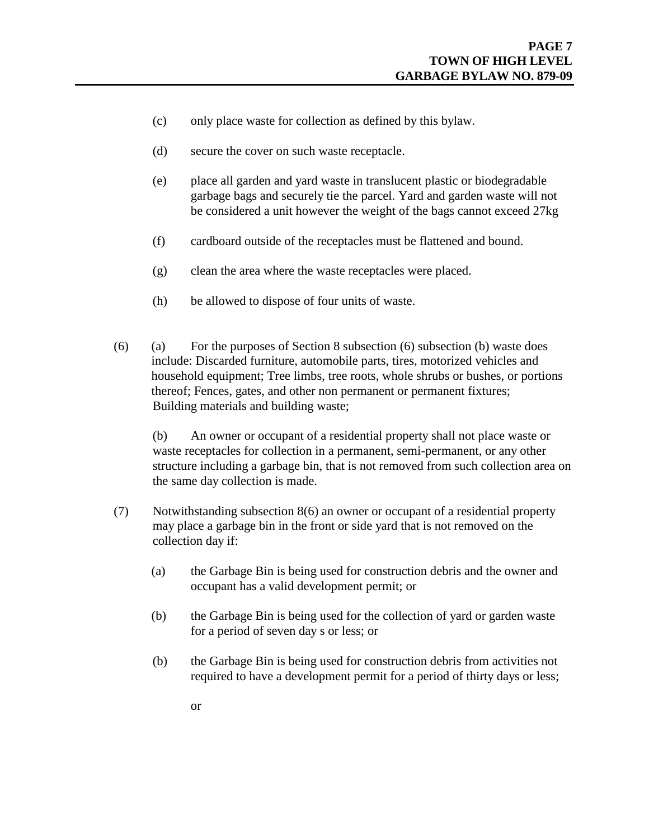- (c) only place waste for collection as defined by this bylaw.
- (d) secure the cover on such waste receptacle.
- (e) place all garden and yard waste in translucent plastic or biodegradable garbage bags and securely tie the parcel. Yard and garden waste will not be considered a unit however the weight of the bags cannot exceed 27kg
- (f) cardboard outside of the receptacles must be flattened and bound.
- (g) clean the area where the waste receptacles were placed.
- (h) be allowed to dispose of four units of waste.
- (6) (a) For the purposes of Section 8 subsection (6) subsection (b) waste does include: Discarded furniture, automobile parts, tires, motorized vehicles and household equipment; Tree limbs, tree roots, whole shrubs or bushes, or portions thereof; Fences, gates, and other non permanent or permanent fixtures; Building materials and building waste;

(b) An owner or occupant of a residential property shall not place waste or waste receptacles for collection in a permanent, semi-permanent, or any other structure including a garbage bin, that is not removed from such collection area on the same day collection is made.

- (7) Notwithstanding subsection 8(6) an owner or occupant of a residential property may place a garbage bin in the front or side yard that is not removed on the collection day if:
	- (a) the Garbage Bin is being used for construction debris and the owner and occupant has a valid development permit; or
	- (b) the Garbage Bin is being used for the collection of yard or garden waste for a period of seven day s or less; or
	- (b) the Garbage Bin is being used for construction debris from activities not required to have a development permit for a period of thirty days or less;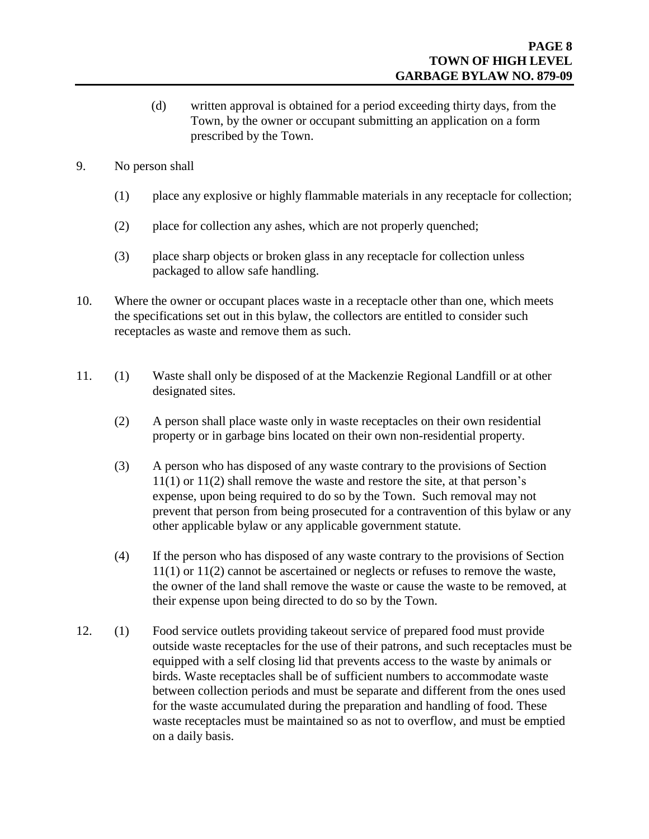- (d) written approval is obtained for a period exceeding thirty days, from the Town, by the owner or occupant submitting an application on a form prescribed by the Town.
- 9. No person shall
	- (1) place any explosive or highly flammable materials in any receptacle for collection;
	- (2) place for collection any ashes, which are not properly quenched;
	- (3) place sharp objects or broken glass in any receptacle for collection unless packaged to allow safe handling.
- 10. Where the owner or occupant places waste in a receptacle other than one, which meets the specifications set out in this bylaw, the collectors are entitled to consider such receptacles as waste and remove them as such.
- 11. (1) Waste shall only be disposed of at the Mackenzie Regional Landfill or at other designated sites.
	- (2) A person shall place waste only in waste receptacles on their own residential property or in garbage bins located on their own non-residential property.
	- (3) A person who has disposed of any waste contrary to the provisions of Section 11(1) or 11(2) shall remove the waste and restore the site, at that person's expense, upon being required to do so by the Town. Such removal may not prevent that person from being prosecuted for a contravention of this bylaw or any other applicable bylaw or any applicable government statute.
	- (4) If the person who has disposed of any waste contrary to the provisions of Section 11(1) or 11(2) cannot be ascertained or neglects or refuses to remove the waste, the owner of the land shall remove the waste or cause the waste to be removed, at their expense upon being directed to do so by the Town.
- 12. (1) Food service outlets providing takeout service of prepared food must provide outside waste receptacles for the use of their patrons, and such receptacles must be equipped with a self closing lid that prevents access to the waste by animals or birds. Waste receptacles shall be of sufficient numbers to accommodate waste between collection periods and must be separate and different from the ones used for the waste accumulated during the preparation and handling of food. These waste receptacles must be maintained so as not to overflow, and must be emptied on a daily basis.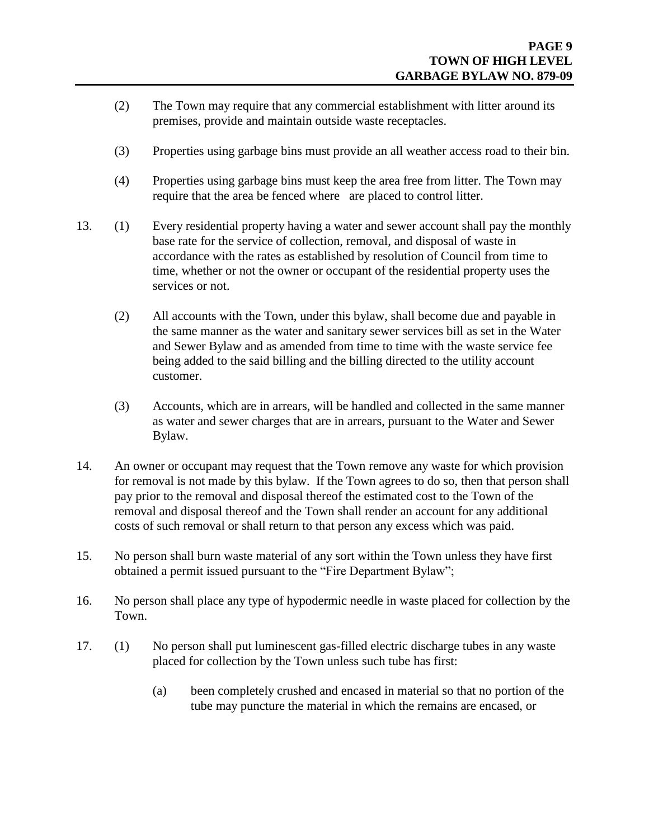- (2) The Town may require that any commercial establishment with litter around its premises, provide and maintain outside waste receptacles.
- (3) Properties using garbage bins must provide an all weather access road to their bin.
- (4) Properties using garbage bins must keep the area free from litter. The Town may require that the area be fenced where are placed to control litter.
- 13. (1) Every residential property having a water and sewer account shall pay the monthly base rate for the service of collection, removal, and disposal of waste in accordance with the rates as established by resolution of Council from time to time, whether or not the owner or occupant of the residential property uses the services or not.
	- (2) All accounts with the Town, under this bylaw, shall become due and payable in the same manner as the water and sanitary sewer services bill as set in the Water and Sewer Bylaw and as amended from time to time with the waste service fee being added to the said billing and the billing directed to the utility account customer.
	- (3) Accounts, which are in arrears, will be handled and collected in the same manner as water and sewer charges that are in arrears, pursuant to the Water and Sewer Bylaw.
- 14. An owner or occupant may request that the Town remove any waste for which provision for removal is not made by this bylaw. If the Town agrees to do so, then that person shall pay prior to the removal and disposal thereof the estimated cost to the Town of the removal and disposal thereof and the Town shall render an account for any additional costs of such removal or shall return to that person any excess which was paid.
- 15. No person shall burn waste material of any sort within the Town unless they have first obtained a permit issued pursuant to the "Fire Department Bylaw";
- 16. No person shall place any type of hypodermic needle in waste placed for collection by the Town.
- 17. (1) No person shall put luminescent gas-filled electric discharge tubes in any waste placed for collection by the Town unless such tube has first:
	- (a) been completely crushed and encased in material so that no portion of the tube may puncture the material in which the remains are encased, or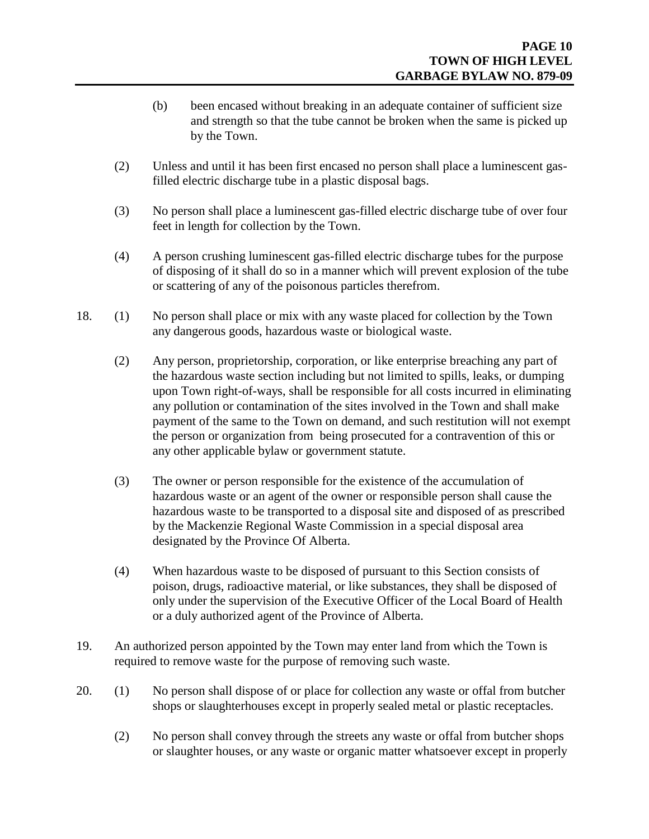- (b) been encased without breaking in an adequate container of sufficient size and strength so that the tube cannot be broken when the same is picked up by the Town.
- (2) Unless and until it has been first encased no person shall place a luminescent gasfilled electric discharge tube in a plastic disposal bags.
- (3) No person shall place a luminescent gas-filled electric discharge tube of over four feet in length for collection by the Town.
- (4) A person crushing luminescent gas-filled electric discharge tubes for the purpose of disposing of it shall do so in a manner which will prevent explosion of the tube or scattering of any of the poisonous particles therefrom.
- 18. (1) No person shall place or mix with any waste placed for collection by the Town any dangerous goods, hazardous waste or biological waste.
	- (2) Any person, proprietorship, corporation, or like enterprise breaching any part of the hazardous waste section including but not limited to spills, leaks, or dumping upon Town right-of-ways, shall be responsible for all costs incurred in eliminating any pollution or contamination of the sites involved in the Town and shall make payment of the same to the Town on demand, and such restitution will not exempt the person or organization from being prosecuted for a contravention of this or any other applicable bylaw or government statute.
	- (3) The owner or person responsible for the existence of the accumulation of hazardous waste or an agent of the owner or responsible person shall cause the hazardous waste to be transported to a disposal site and disposed of as prescribed by the Mackenzie Regional Waste Commission in a special disposal area designated by the Province Of Alberta.
	- (4) When hazardous waste to be disposed of pursuant to this Section consists of poison, drugs, radioactive material, or like substances, they shall be disposed of only under the supervision of the Executive Officer of the Local Board of Health or a duly authorized agent of the Province of Alberta.
- 19. An authorized person appointed by the Town may enter land from which the Town is required to remove waste for the purpose of removing such waste.
- 20. (1) No person shall dispose of or place for collection any waste or offal from butcher shops or slaughterhouses except in properly sealed metal or plastic receptacles.
	- (2) No person shall convey through the streets any waste or offal from butcher shops or slaughter houses, or any waste or organic matter whatsoever except in properly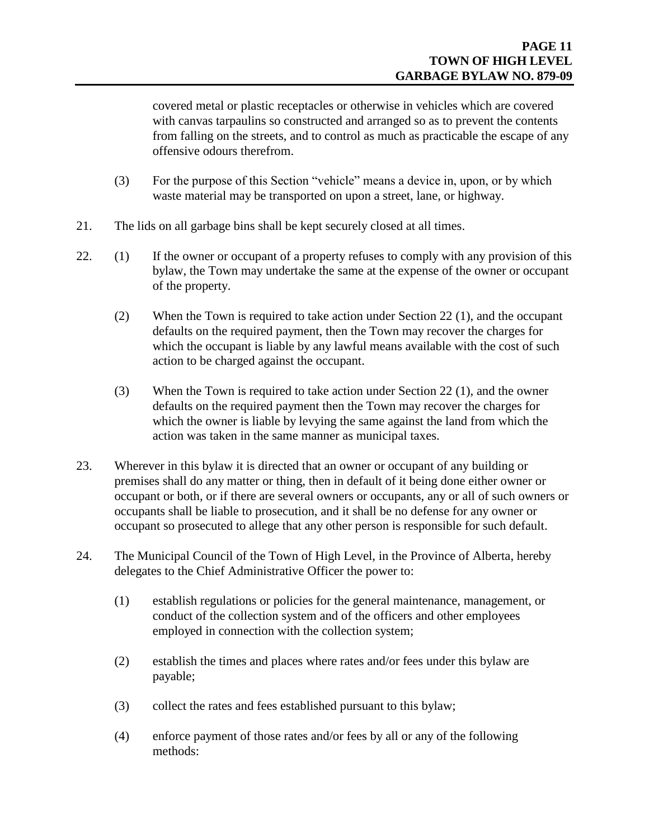covered metal or plastic receptacles or otherwise in vehicles which are covered with canvas tarpaulins so constructed and arranged so as to prevent the contents from falling on the streets, and to control as much as practicable the escape of any offensive odours therefrom.

- (3) For the purpose of this Section "vehicle" means a device in, upon, or by which waste material may be transported on upon a street, lane, or highway.
- 21. The lids on all garbage bins shall be kept securely closed at all times.
- 22. (1) If the owner or occupant of a property refuses to comply with any provision of this bylaw, the Town may undertake the same at the expense of the owner or occupant of the property.
	- (2) When the Town is required to take action under Section 22 (1), and the occupant defaults on the required payment, then the Town may recover the charges for which the occupant is liable by any lawful means available with the cost of such action to be charged against the occupant.
	- (3) When the Town is required to take action under Section 22 (1), and the owner defaults on the required payment then the Town may recover the charges for which the owner is liable by levying the same against the land from which the action was taken in the same manner as municipal taxes.
- 23. Wherever in this bylaw it is directed that an owner or occupant of any building or premises shall do any matter or thing, then in default of it being done either owner or occupant or both, or if there are several owners or occupants, any or all of such owners or occupants shall be liable to prosecution, and it shall be no defense for any owner or occupant so prosecuted to allege that any other person is responsible for such default.
- 24. The Municipal Council of the Town of High Level, in the Province of Alberta, hereby delegates to the Chief Administrative Officer the power to:
	- (1) establish regulations or policies for the general maintenance, management, or conduct of the collection system and of the officers and other employees employed in connection with the collection system;
	- (2) establish the times and places where rates and/or fees under this bylaw are payable;
	- (3) collect the rates and fees established pursuant to this bylaw;
	- (4) enforce payment of those rates and/or fees by all or any of the following methods: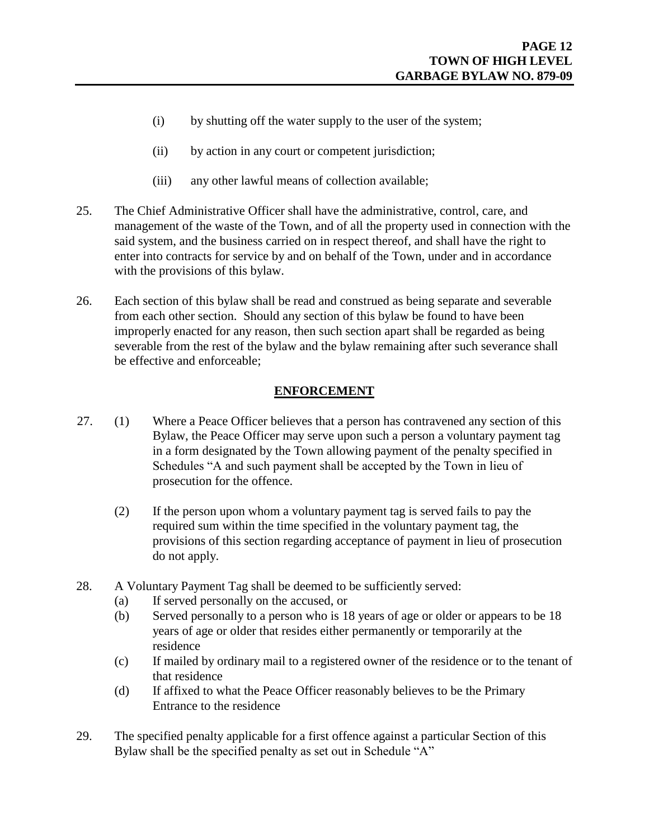- (i) by shutting off the water supply to the user of the system;
- (ii) by action in any court or competent jurisdiction;
- (iii) any other lawful means of collection available;
- 25. The Chief Administrative Officer shall have the administrative, control, care, and management of the waste of the Town, and of all the property used in connection with the said system, and the business carried on in respect thereof, and shall have the right to enter into contracts for service by and on behalf of the Town, under and in accordance with the provisions of this bylaw.
- 26. Each section of this bylaw shall be read and construed as being separate and severable from each other section. Should any section of this bylaw be found to have been improperly enacted for any reason, then such section apart shall be regarded as being severable from the rest of the bylaw and the bylaw remaining after such severance shall be effective and enforceable;

#### **ENFORCEMENT**

- 27. (1) Where a Peace Officer believes that a person has contravened any section of this Bylaw, the Peace Officer may serve upon such a person a voluntary payment tag in a form designated by the Town allowing payment of the penalty specified in Schedules "A and such payment shall be accepted by the Town in lieu of prosecution for the offence.
	- (2) If the person upon whom a voluntary payment tag is served fails to pay the required sum within the time specified in the voluntary payment tag, the provisions of this section regarding acceptance of payment in lieu of prosecution do not apply.
- 28. A Voluntary Payment Tag shall be deemed to be sufficiently served:
	- (a) If served personally on the accused, or
	- (b) Served personally to a person who is 18 years of age or older or appears to be 18 years of age or older that resides either permanently or temporarily at the residence
	- (c) If mailed by ordinary mail to a registered owner of the residence or to the tenant of that residence
	- (d) If affixed to what the Peace Officer reasonably believes to be the Primary Entrance to the residence
- 29. The specified penalty applicable for a first offence against a particular Section of this Bylaw shall be the specified penalty as set out in Schedule "A"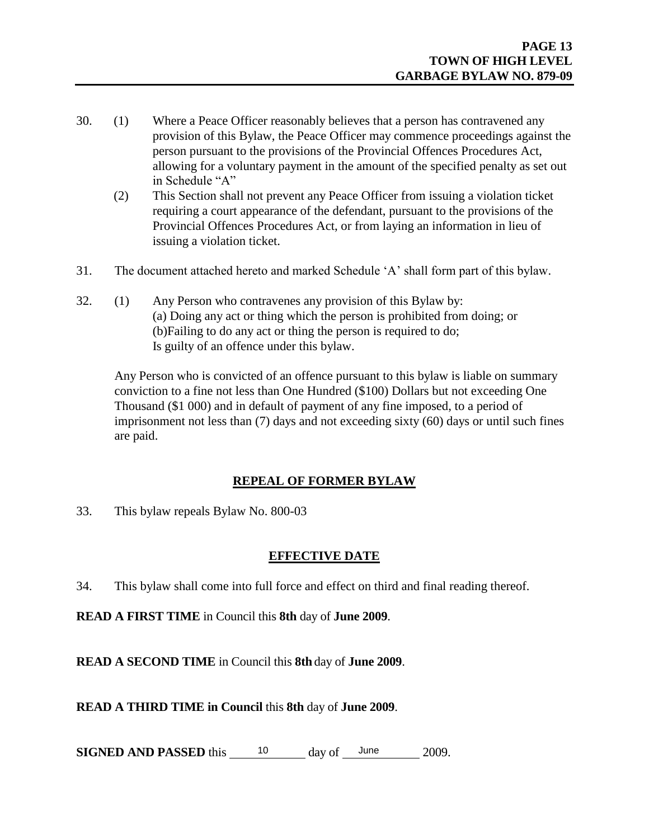- 30. (1) Where a Peace Officer reasonably believes that a person has contravened any provision of this Bylaw, the Peace Officer may commence proceedings against the person pursuant to the provisions of the Provincial Offences Procedures Act, allowing for a voluntary payment in the amount of the specified penalty as set out in Schedule "A"
	- (2) This Section shall not prevent any Peace Officer from issuing a violation ticket requiring a court appearance of the defendant, pursuant to the provisions of the Provincial Offences Procedures Act, or from laying an information in lieu of issuing a violation ticket.
- 31. The document attached hereto and marked Schedule 'A' shall form part of this bylaw.
- 32. (1) Any Person who contravenes any provision of this Bylaw by: (a) Doing any act or thing which the person is prohibited from doing; or (b)Failing to do any act or thing the person is required to do; Is guilty of an offence under this bylaw.

Any Person who is convicted of an offence pursuant to this bylaw is liable on summary conviction to a fine not less than One Hundred (\$100) Dollars but not exceeding One Thousand (\$1 000) and in default of payment of any fine imposed, to a period of imprisonment not less than (7) days and not exceeding sixty (60) days or until such fines are paid.

#### **REPEAL OF FORMER BYLAW**

33. This bylaw repeals Bylaw No. 800-03

#### **EFFECTIVE DATE**

34. This bylaw shall come into full force and effect on third and final reading thereof.

**READ A FIRST TIME** in Council this **8th** day of **June 2009**.

**READ A SECOND TIME** in Council this **8th** day of **June 2009**.

**READ A THIRD TIME in Council** this **8th** day of **June 2009**.

**SIGNED AND PASSED** this  $\qquad$  10 day of  $\qquad$  June 2009.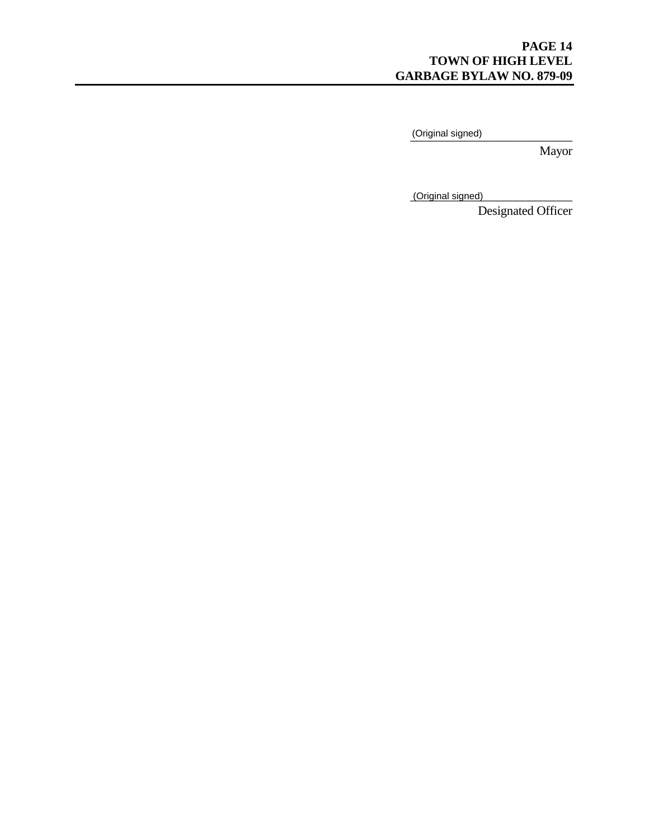#### **PAGE 14 TOWN OF HIGH LEVEL GARBAGE BYLAW NO. 879-09**

\_\_\_\_\_\_\_\_\_\_\_\_\_\_\_\_\_\_\_\_\_\_\_\_\_\_ (Original signed)

Mayor

\_\_\_\_\_\_\_\_\_\_\_\_\_\_\_\_\_\_\_\_\_\_\_\_\_\_ (Original signed)

Designated Officer